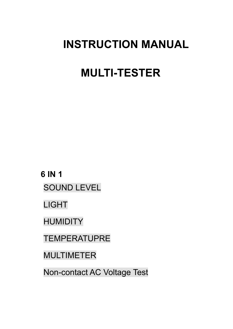## **INSTRUCTION MANUAL**

# **MULTI-TESTER**

**6 IN 1** SOUND LEVEL

LIGHT

HUMIDITY

**TEMPERATUPRE** 

MULTIMETER

Non-contact AC Voltage Test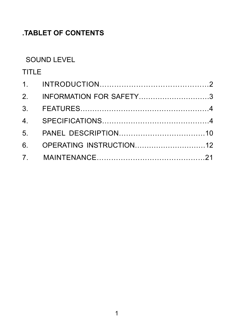## **.TABLET OF CONTENTS**

#### SOUND LEVEL

## TITLE

| 2. INFORMATION FOR SAFETY3 |  |
|----------------------------|--|
|                            |  |
|                            |  |
|                            |  |
| 6. OPERATING INSTRUCTION12 |  |
|                            |  |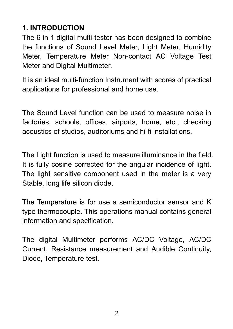## **1. INTRODUCTION**

The 6 in 1 digital multi-tester has been designed to combine the functions of Sound Level Meter, Light Meter, Humidity Meter, Temperature Meter Non-contact AC Voltage Test Meter and Digital Multimeter.

It is an ideal multi-function Instrument with scores of practical applications for professional and home use.

The Sound Level function can be used to measure noise in factories, schools, offices, airports, home, etc., checking acoustics of studios, auditoriums and hi-fi installations.

The Light function is used to measure illuminance in the field. It is fully cosine corrected for the angular incidence of light. The light sensitive component used in the meter is a very Stable, long life silicon diode.

The Temperature is for use a semiconductor sensor and K type thermocouple. This operations manual contains general information and specification.

The digital Multimeter performs AC/DC Voltage, AC/DC Current, Resistance measurement and Audible Continuity, Diode, Temperature test.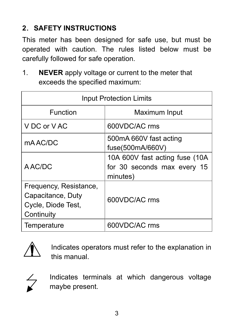## **2**.**SAFETY INSTRUCTIONS**

This meter has been designed for safe use, but must be operated with caution. The rules listed below must be carefully followed for safe operation.

1. **NEVER** apply voltage or current to the meter that exceeds the specified maximum:

| <b>Input Protection Limits</b>                                                  |                                                                           |  |
|---------------------------------------------------------------------------------|---------------------------------------------------------------------------|--|
| Function                                                                        | Maximum Input                                                             |  |
| V DC or V AC                                                                    | 600VDC/AC rms                                                             |  |
| mA AC/DC                                                                        | 500mA 660V fast acting<br>fuse(500mA/660V)                                |  |
| A AC/DC                                                                         | 10A 600V fast acting fuse (10A<br>for 30 seconds max every 15<br>minutes) |  |
| Frequency, Resistance,<br>Capacitance, Duty<br>Cycle, Diode Test,<br>Continuity | 600VDC/AC rms                                                             |  |
| Temperature                                                                     | 600VDC/AC rms                                                             |  |



Indicates operators must refer to the explanation in this manual.



Indicates terminals at which dangerous voltage maybe present.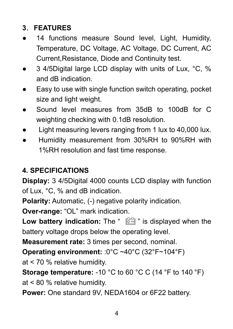## **3**.**FEATURES**

- 14 functions measure Sound level, Light, Humidity, Temperature, DC Voltage, AC Voltage, DC Current, AC Current,Resistance, Diode and Continuity test.
- 3 4/5Digital large LCD display with units of Lux, °C, % and dB indication.
- Easy to use with single function switch operating, pocket size and light weight.
- Sound level measures from 35dB to 100dB for C weighting checking with 0.1dB resolution.
- Light measuring levers ranging from 1 lux to 40,000 lux.
- Humidity measurement from 30%RH to 90%RH with 1%RH resolution and fast time response.

## **4. SPECIFICATIONS**

**Display:** 3 4/5Digital 4000 counts LCD display with function of Lux, °C, % and dB indication.

**Polarity:** Automatic, (-) negative polarity indication.

**Over-range:** "OL" mark indication.

**Low battery indication:** The "  $\mathbb{F}$ <sup>3</sup> is displayed when the battery voltage drops below the operating level.

**Measurement rate:** 3 times per second, nominal.

**Operating environment:** :0°C ~40°C (32°F~104°F)

at < 70 % relative humidity.

**Storage temperature:** -10 °C to 60 °C C (14 °F to 140 °F) at < 80 % relative humidity.

**Power:** One standard 9V, NEDA1604 or 6F22 battery.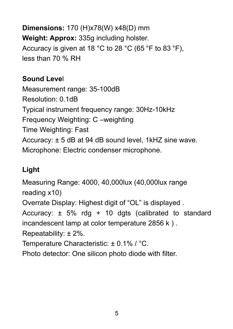**Dimensions:** 170 (H)x78(W) x48(D) mm **Weight: Approx:** 335g including holster. Accuracy is given at 18 °C to 28 °C (65 °F to 83 °F), less than 70 % RH

#### **Sound Leve**l

Measurement range: 35-100dB Resolution: 0.1dB Typical instrument frequency range: 30Hz-10kHz Frequency Weighting: C –weighting Time Weighting: Fast Accuracy: ± 5 dB at 94 dB sound level, 1kHZ sine wave. Microphone: Electric condenser microphone.

## **Light**

Measuring Range: 4000, 40,000lux (40,000lux range reading x10) Overrate Display: Highest digit of "OL" is displayed . Accuracy:  $\pm$  5% rdg + 10 dgts (calibrated to standard incandescent lamp at color temperature 2856 k ) . Repeatability: ± 2%. Temperature Characteristic: ± 0.1% / °C. Photo detector: One silicon photo diode with filter.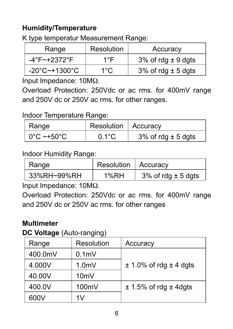## **Humidity/Temperature**

K type temperatur Measurement Range:

| Range                              | Resolution | Accuracy               |
|------------------------------------|------------|------------------------|
| $-4^{\circ}F \sim +2372^{\circ}F$  | 1°F        | 3% of rdg $\pm$ 9 dgts |
| $-20^{\circ}$ C $-+1300^{\circ}$ C | 1°C.       | 3% of rdg $\pm$ 5 dgts |

Input Impedance: 10MΩ.

Overload Protection: 250Vdc or ac rms. for 400mV range and 250V dc or 250V ac rms. for other ranges.

#### Indoor Temperature Range:

|                | Resolution   Accuracy |                        |
|----------------|-----------------------|------------------------|
| Range          |                       |                        |
| l 0°C ~+50°C l | $0.1^{\circ}$ C       | 3% of rdg $\pm$ 5 dgts |

#### Indoor Humidity Range:

| Range       | Resolution   Accuracy |                        |
|-------------|-----------------------|------------------------|
| 33%RH~99%RH | 1%RH                  | 3% of rdg $\pm$ 5 dgts |

Input Impedance: 10MΩ.

Overload Protection: 250Vdc or ac rms. for 400mV range and 250V dc or 250V ac rms. for other ranges

#### **Multimeter**

**DC Voltage** (Auto-ranging)

| Range   | Resolution       | Accuracy                       |
|---------|------------------|--------------------------------|
| 400.0mV | 0.1 <sub>m</sub> |                                |
| 4.000V  | 1.0 <sub>m</sub> | $\pm$ 1.0% of rdg $\pm$ 4 dgts |
| 40.00V  | 10 <sub>m</sub>  |                                |
| 400.0V  | 100mV            | $\pm$ 1.5% of rdg $\pm$ 4dgts  |
| 600V    | 1V               |                                |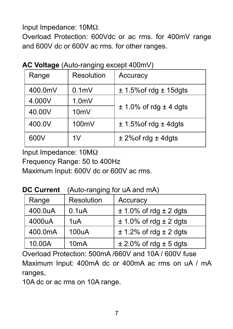Input Impedance: 10MΩ.

Overload Protection: 600Vdc or ac rms. for 400mV range and 600V dc or 600V ac rms. for other ranges.

| Resolution<br>Range<br>Accuracy                               |  |
|---------------------------------------------------------------|--|
|                                                               |  |
| 400.0mV<br>0.1 <sub>m</sub><br>$\pm$ 1.5% of rdg $\pm$ 15dgts |  |
| 4.000V<br>1.0 <sub>m</sub>                                    |  |
| $\pm$ 1.0% of rdg $\pm$ 4 dgts<br>40.00V<br>10 <sub>m</sub>   |  |
| 400.0V<br>100mV<br>$± 1.5\%$ of rdg $± 4$ dgts                |  |
| 600V<br>1V<br>$±$ 2%of rdg $±$ 4dgts                          |  |

**AC Voltage** (Auto-ranging except 400mV)

Input Impedance: 10MΩ

Frequency Range: 50 to 400Hz

Maximum Input: 600V dc or 600V ac rms.

**DC Current** (Auto-ranging for uA and mA)

| Range   | Resolution         | Accuracy                       |
|---------|--------------------|--------------------------------|
| 400.0uA | 0.1 <sub>u</sub> A | $\pm$ 1.0% of rdg $\pm$ 2 dgts |
| 4000uA  | 1uA                | $\pm$ 1.0% of rdg $\pm$ 2 dgts |
| 400.0mA | 100uA              | $\pm$ 1.2% of rdg $\pm$ 2 dgts |
| 10.00A  | 10 <sub>m</sub> A  | $\pm$ 2.0% of rdg $\pm$ 5 dgts |

Overload Protection: 500mA /660V and 10A / 600V fuse Maximum Input: 400mA dc or 400mA ac rms on uA / mA ranges,

10A dc or ac rms on 10A range.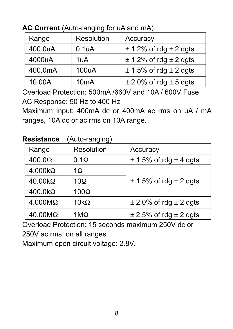| Range   | Resolution         | Accuracy                       |  |
|---------|--------------------|--------------------------------|--|
| 400.0uA | 0.1 <sub>u</sub> A | $± 1.2\%$ of rdg $± 2$ dgts    |  |
| 4000uA  | 1uA                | $\pm$ 1.2% of rdg $\pm$ 2 dgts |  |
| 400.0mA | 100uA              | $\pm$ 1.5% of rdg $\pm$ 2 dgts |  |
| 10.00A  | 10 <sub>m</sub> A  | $\pm$ 2.0% of rdg $\pm$ 5 dgts |  |

**AC Current** (Auto-ranging for uA and mA)

Overload Protection: 500mA /660V and 10A / 600V Fuse AC Response: 50 Hz to 400 Hz

Maximum Input: 400mA dc or 400mA ac rms on uA / mA ranges, 10A dc or ac rms on 10A range.

| <b>Resistance</b> | (Auto-ranging) |
|-------------------|----------------|
|                   |                |

| Range          | Resolution         | Accuracy                       |
|----------------|--------------------|--------------------------------|
| $400.0\Omega$  | $0.1\Omega$        | $\pm$ 1.5% of rdg $\pm$ 4 dgts |
| $4.000k\Omega$ | 1Ω                 |                                |
| $40.00k\Omega$ | $10\Omega$         | $± 1.5\%$ of rdg $± 2$ dgts    |
| $400.0k\Omega$ | $100\Omega$        |                                |
| $4.000M\Omega$ | 10 $k\Omega$       | $\pm$ 2.0% of rdg $\pm$ 2 dgts |
| $40.00M\Omega$ | $1 \text{M}\Omega$ | $\pm$ 2.5% of rdg $\pm$ 2 dgts |

Overload Protection: 15 seconds maximum 250V dc or 250V ac rms. on all ranges.

Maximum open circuit voltage: 2.8V.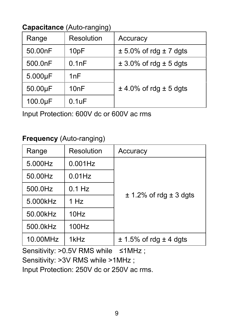## **Capacitance** (Auto-ranging)

| Range         | Resolution        | Accuracy                       |
|---------------|-------------------|--------------------------------|
| 50.00nF       | 10pF              | $\pm$ 5.0% of rdg $\pm$ 7 dgts |
| 500.0nF       | 0.1nF             | $\pm$ 3.0% of rdg $\pm$ 5 dgts |
| $5.000\mu F$  | 1nF               |                                |
| $50.00 \mu F$ | 10 <sub>n</sub> F | $\pm$ 4.0% of rdg $\pm$ 5 dgts |
| $100.0 \mu F$ | $0.1$ u $F$       |                                |

Input Protection: 600V dc or 600V ac rms

#### **Frequency** (Auto-ranging)

| Range    | Resolution       | Accuracy                       |
|----------|------------------|--------------------------------|
| 5.000Hz  | $0.001$ Hz       | $\pm$ 1.2% of rdg $\pm$ 3 dgts |
| 50.00Hz  | $0.01$ Hz        |                                |
| 500.0Hz  | $0.1$ Hz         |                                |
| 5.000kHz | 1 H <sub>z</sub> |                                |
| 50.00kHz | 10Hz             |                                |
| 500.0kHz | 100Hz            |                                |
| 10.00MHz | 1kHz             | $\pm$ 1.5% of rdg $\pm$ 4 dgts |

Sensitivity: >0.5V RMS while ≤1MHz ;

Sensitivity: >3V RMS while >1MHz ;

Input Protection: 250V dc or 250V ac rms.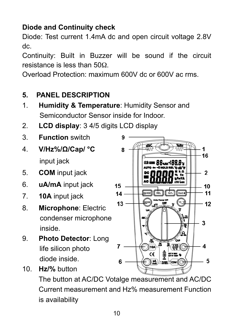## **Diode and Continuity check**

Diode: Test current 1.4mA dc and open circuit voltage 2.8V dc.

Continuity: Built in Buzzer will be sound if the circuit resistance is less than 50Ω.

Overload Protection: maximum 600V dc or 600V ac rms.

## **5. PANEL DESCRIPTION**

- 1. **Humidity & Temperature**: Humidity Sensor and Semiconductor Sensor inside for Indoor.
- 2. **LCD display**: 3 4/5 digits LCD display
- 3. **Function** switch
- 4. **V/Hz%/Ω/Cap/ °C** input jack
- 5. **COM** input jack
- 6. **uA/mA** input jack
- 7. **10A** input jack

10. **Hz/%** button

- 8. **Microphone**: Electric condenser microphone inside.
- 9. **Photo Detector**: Long life silicon photo diode inside.



The button at AC/DC Votalge measurement and AC/DC Current measurement and Hz% measurement Function is availability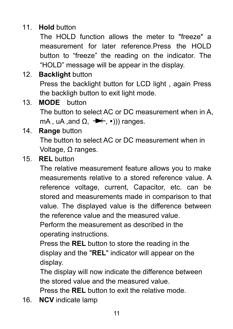## 11. **Hold** button

The HOLD function allows the meter to "freeze" a measurement for later reference.Press the HOLD button to "freeze" the reading on the indicator. The "HOLD" message will be appear in the display.

## 12. **Backlight** button

Press the backlight button for LCD light , again Press the backligh button to exit light mode.

13. **MODE** button

The button to select AC or DC measurement when in A, mA, uA, and  $\Omega$ ,  $\rightarrow$ , (iii)) ranges.

#### 14. **Range** button

The button to select AC or DC measurement when in Voltage, Ω ranges.

#### 15. **REL** button

The relative measurement feature allows you to make measurements relative to a stored reference value. A reference voltage, current, Capacitor, etc. can be stored and measurements made in comparison to that value. The displayed value is the difference between the reference value and the measured value.

Perform the measurement as described in the operating instructions.

Press the **REL** button to store the reading in the display and the "**REL**" indicator will appear on the display.

The display will now indicate the difference between the stored value and the measured value.

Press the **REL** button to exit the relative mode.

16. **NCV** indicate lamp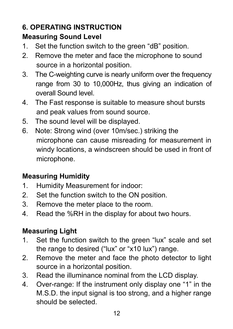## **6. OPERATING INSTRUCTION**

## **Measuring Sound Level**

- 1. Set the function switch to the green "dB" position.
- 2. Remove the meter and face the microphone to sound source in a horizontal position.
- 3. The C-weighting curve is nearly uniform over the frequency range from 30 to 10,000Hz, thus giving an indication of overall Sound level.
- 4. The Fast response is suitable to measure shout bursts and peak values from sound source.
- 5. The sound level will be displayed.
- 6. Note: Strong wind (over 10m/sec.) striking the microphone can cause misreading for measurement in windy locations, a windscreen should be used in front of microphone.

## **Measuring Humidity**

- 1. Humidity Measurement for indoor:
- 2. Set the function switch to the ON position.
- 3. Remove the meter place to the room.
- 4. Read the %RH in the display for about two hours.

## **Measuring Light**

- 1. Set the function switch to the green "lux" scale and set the range to desired ("lux" or "x10 lux") range.
- 2. Remove the meter and face the photo detector to light source in a horizontal position.
- 3. Read the illuminance nominal from the LCD display.
- 4. Over-range: If the instrument only display one "1" in the M.S.D. the input signal is too strong, and a higher range should be selected.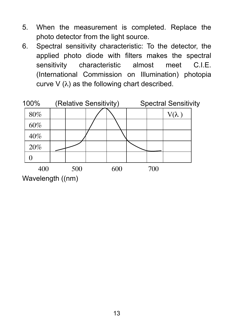- 5. When the measurement is completed. Replace the photo detector from the light source.
- 6. Spectral sensitivity characteristic: To the detector, the applied photo diode with filters makes the spectral sensitivity characteristic almost meet C.I.E. (International Commission on Illumination) photopia curve  $V(\lambda)$  as the following chart described.

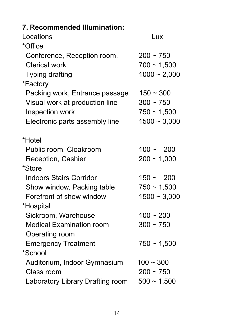| 7. Recommended Illumination:     |                  |
|----------------------------------|------------------|
| Locations                        | Lux              |
| *Office                          |                  |
| Conference, Reception room.      | $200 - 750$      |
| Clerical work                    | $700 \sim 1,500$ |
| Typing drafting                  | $1000 - 2,000$   |
| *Factory                         |                  |
| Packing work, Entrance passage   | $150 - 300$      |
| Visual work at production line   | $300 - 750$      |
| Inspection work                  | $750 \sim 1,500$ |
| Electronic parts assembly line   | $1500 - 3,000$   |
| *Hotel                           |                  |
| Public room, Cloakroom           | $100 - 200$      |
| Reception, Cashier               | $200 \sim 1,000$ |
| *Store                           |                  |
| Indoors Stairs Corridor          | $150 - 200$      |
| Show window, Packing table       | $750 \sim 1,500$ |
| Forefront of show window         | $1500 - 3,000$   |
| *Hospital                        |                  |
| Sickroom, Warehouse              | $100 - 200$      |
| Medical Examination room         | $300 \sim 750$   |
| Operating room                   |                  |
| <b>Emergency Treatment</b>       | $750 - 1,500$    |
| *School                          |                  |
| Auditorium, Indoor Gymnasium     | $100 - 300$      |
| Class room                       | $200 - 750$      |
| Laboratory Library Drafting room | $500 \sim 1,500$ |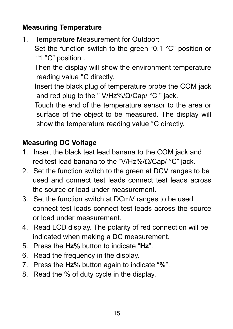## **Measuring Temperature**

1. Temperature Measurement for Outdoor: Set the function switch to the green "0.1 °C" position or "1 °C" position .

 Then the display will show the environment temperature reading value °C directly.

 Insert the black plug of temperature probe the COM jack and red plug to the " V/Hz%/Ω/Cap/ °C " jack.

 Touch the end of the temperature sensor to the area or surface of the object to be measured. The display will show the temperature reading value °C directly.

## **Measuring DC Voltage**

- 1. Insert the black test lead banana to the COM jack and red test lead banana to the "V/Hz%/Ω/Cap/ °C" jack.
- 2. Set the function switch to the green at DCV ranges to be used and connect test leads connect test leads across the source or load under measurement.
- 3. Set the function switch at DCmV ranges to be used connect test leads connect test leads across the source or load under measurement.
- 4. Read LCD display. The polarity of red connection will be indicated when making a DC measurement.
- 5. Press the **Hz%** button to indicate "**Hz**".
- 6. Read the frequency in the display.
- 7. Press the **Hz%** button again to indicate "**%**".
- 8. Read the % of duty cycle in the display.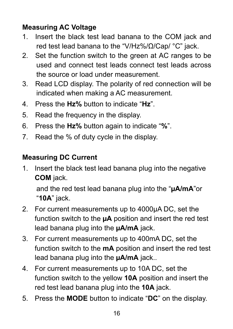## **Measuring AC Voltage**

- 1. Insert the black test lead banana to the COM jack and red test lead banana to the "V/Hz%/Ω/Cap/ °C" jack.
- 2. Set the function switch to the green at AC ranges to be used and connect test leads connect test leads across the source or load under measurement.
- 3. Read LCD display. The polarity of red connection will be indicated when making a AC measurement.
- 4. Press the **Hz%** button to indicate "**Hz**".
- 5. Read the frequency in the display.
- 6. Press the **Hz%** button again to indicate "**%**".
- 7. Read the % of duty cycle in the display.

#### **Measuring DC Current**

1. Insert the black test lead banana plug into the negative **COM** jack.

and the red test lead banana plug into the "**µA/mA**"or "**10A**" jack.

- 2. For current measurements up to 4000µA DC, set the function switch to the **µA** position and insert the red test lead banana plug into the **µA/mA** jack.
- 3. For current measurements up to 400mA DC, set the function switch to the **mA** position and insert the red test lead banana plug into the **µA/mA** jack..
- 4. For current measurements up to 10A DC, set the function switch to the yellow **10A** position and insert the red test lead banana plug into the **10A** jack.
- 5. Press the **MODE** button to indicate "**DC**" on the display.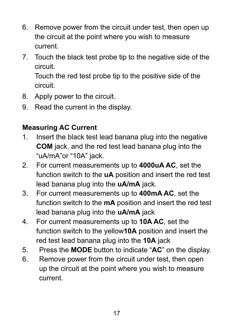- 6. Remove power from the circuit under test, then open up the circuit at the point where you wish to measure current.
- 7. Touch the black test probe tip to the negative side of the circuit.

Touch the red test probe tip to the positive side of the circuit.

- 8. Apply power to the circuit.
- 9. Read the current in the display.

## **Measuring AC Current**

- 1. Insert the black test lead banana plug into the negative **COM** jack. and the red test lead banana plug into the "uA/mA"or "10A" jack.
- 2. For current measurements up to **4000uA AC**, set the function switch to the **uA** position and insert the red test lead banana plug into the **uA/mA** jack.
- 3. For current measurements up to **400mA AC**, set the function switch to the **mA** position and insert the red test lead banana plug into the **uA/mA** jack
- 4. For current measurements up to **10A AC**, set the function switch to the yellow**10A** position and insert the red test lead banana plug into the **10A** jack
- 5. Press the **MODE** button to indicate "**AC**" on the display.
- 6. Remove power from the circuit under test, then open up the circuit at the point where you wish to measure current.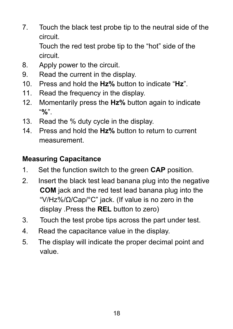7. Touch the black test probe tip to the neutral side of the circuit.

Touch the red test probe tip to the "hot" side of the circuit.

- 8. Apply power to the circuit.
- 9. Read the current in the display.
- 10. Press and hold the **Hz%** button to indicate "**Hz**".
- 11. Read the frequency in the display.
- 12. Momentarily press the **Hz%** button again to indicate "**%**".
- 13. Read the % duty cycle in the display.
- 14. Press and hold the **Hz%** button to return to current measurement.

## **Measuring Capacitance**

- 1. Set the function switch to the green **CAP** position.
- 2. Insert the black test lead banana plug into the negative **COM** jack and the red test lead banana plug into the "V/Hz%/Ω/Cap/°C" jack. (If value is no zero in the display .Press the **REL** button to zero)
- 3. Touch the test probe tips across the part under test.
- 4. Read the capacitance value in the display.
- 5. The display will indicate the proper decimal point and value.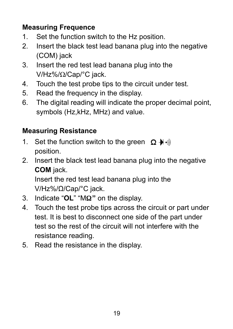## **Measuring Frequence**

- 1. Set the function switch to the Hz position.
- 2. Insert the black test lead banana plug into the negative (COM) jack
- 3. Insert the red test lead banana plug into the V/Hz%/Ω/Cap/°C jack.
- 4. Touch the test probe tips to the circuit under test.
- 5. Read the frequency in the display.
- 6. The digital reading will indicate the proper decimal point, symbols (Hz,kHz, MHz) and value.

## **Measuring Resistance**

- 1. Set the function switch to the green  $\Omega + \mathbf{r}$ position.
- 2. Insert the black test lead banana plug into the negative **COM** jack.

Insert the red test lead banana plug into the V/Hz%/Ω/Cap/°C jack.

- 3. Indicate "**OL**" "MΩ**"** on the display.
- 4. Touch the test probe tips across the circuit or part under test. It is best to disconnect one side of the part under test so the rest of the circuit will not interfere with the resistance reading.
- 5. Read the resistance in the display.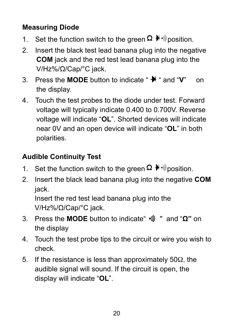## **Measuring Diode**

- 1. Set the function switch to the green  $\Omega \not\blacktriangleright \emptyset$  position.
- 2. Insert the black test lead banana plug into the negative **COM** jack and the red test lead banana plug into the V/Hz%/Ω/Cap/°C jack.
- 3. Press the **MODE** button to indicate " <sup>₩</sup> and "V" on the display.
- 4. Touch the test probes to the diode under test. Forward voltage will typically indicate 0.400 to 0.700V. Reverse voltage will indicate "**OL**". Shorted devices will indicate near 0V and an open device will indicate "**OL**" in both polarities.

## **Audible Continuity Test**

- 1. Set the function switch to the green  $\Omega$   $\mathbb{H}$   $\mathbb{I}$  position.
- 2. Insert the black lead banana plug into the negative **COM** jack.

Insert the red test lead banana plug into the V/Hz%/Ω/Cap/°C jack.

- 3. Press the **MODE** button to indicate" " and "**Ω"** on the display
- 4. Touch the test probe tips to the circuit or wire you wish to check.
- 5. If the resistance is less than approximately 50Ω, the audible signal will sound. If the circuit is open, the display will indicate "**OL**".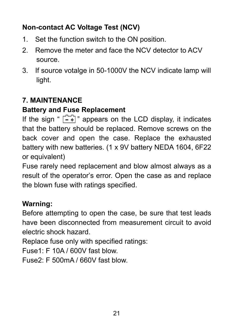## **Non-contact AC Voltage Test (NCV)**

- 1. Set the function switch to the ON position.
- 2. Remove the meter and face the NCV detector to ACV source.
- 3. If source votalge in 50-1000V the NCV indicate lamp will light.

## **7. MAINTENANCE**

## **Battery and Fuse Replacement**

If the sign "  $\begin{bmatrix} 1 & 1 \\ -\end{bmatrix}$ " appears on the LCD display, it indicates that the battery should be replaced. Remove screws on the back cover and open the case. Replace the exhausted battery with new batteries. (1 x 9V battery NEDA 1604, 6F22 or equivalent)

Fuse rarely need replacement and blow almost always as a result of the operator's error. Open the case as and replace the blown fuse with ratings specified.

## **Warning:**

Before attempting to open the case, be sure that test leads have been disconnected from measurement circuit to avoid electric shock hazard.

Replace fuse only with specified ratings:

Fuse1: F 10A / 600V fast blow.

Fuse2: F 500mA / 660V fast blow.